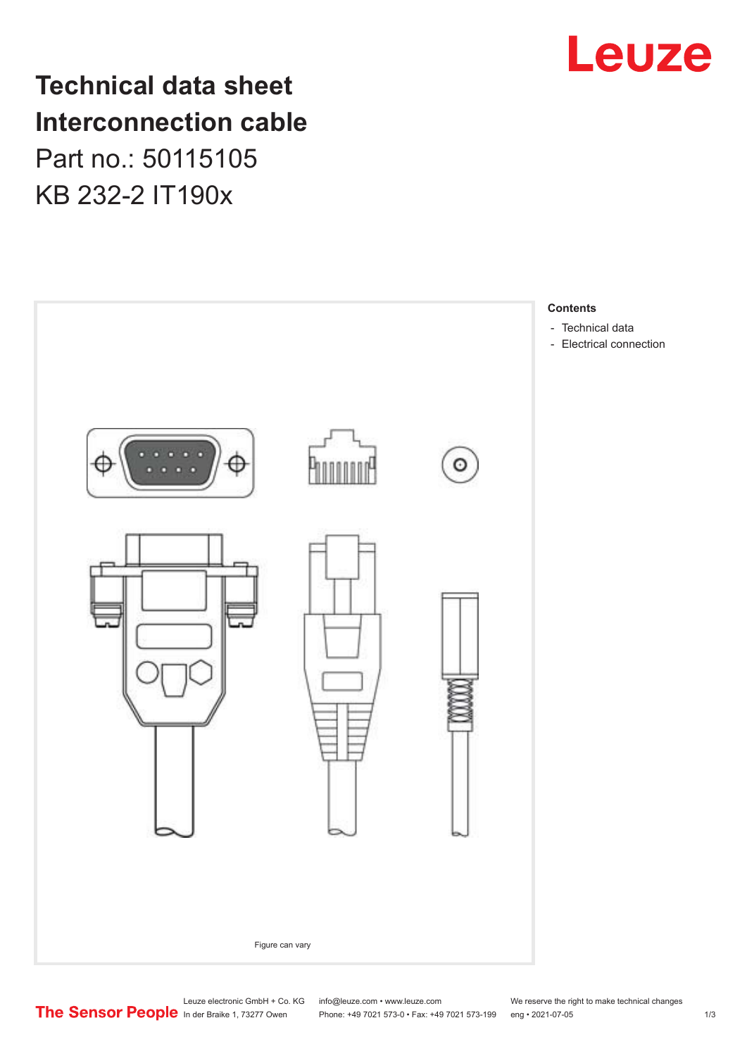

**Technical data sheet Interconnection cable** Part no.: 50115105 KB 232-2 IT190x



Leuze electronic GmbH + Co. KG info@leuze.com • www.leuze.com We reserve the right to make technical changes<br>
The Sensor People in der Braike 1, 73277 Owen Phone: +49 7021 573-0 • Fax: +49 7021 573-199 eng • 2021-07-05

Phone: +49 7021 573-0 • Fax: +49 7021 573-199 eng • 2021-07-05 1 2021-07-05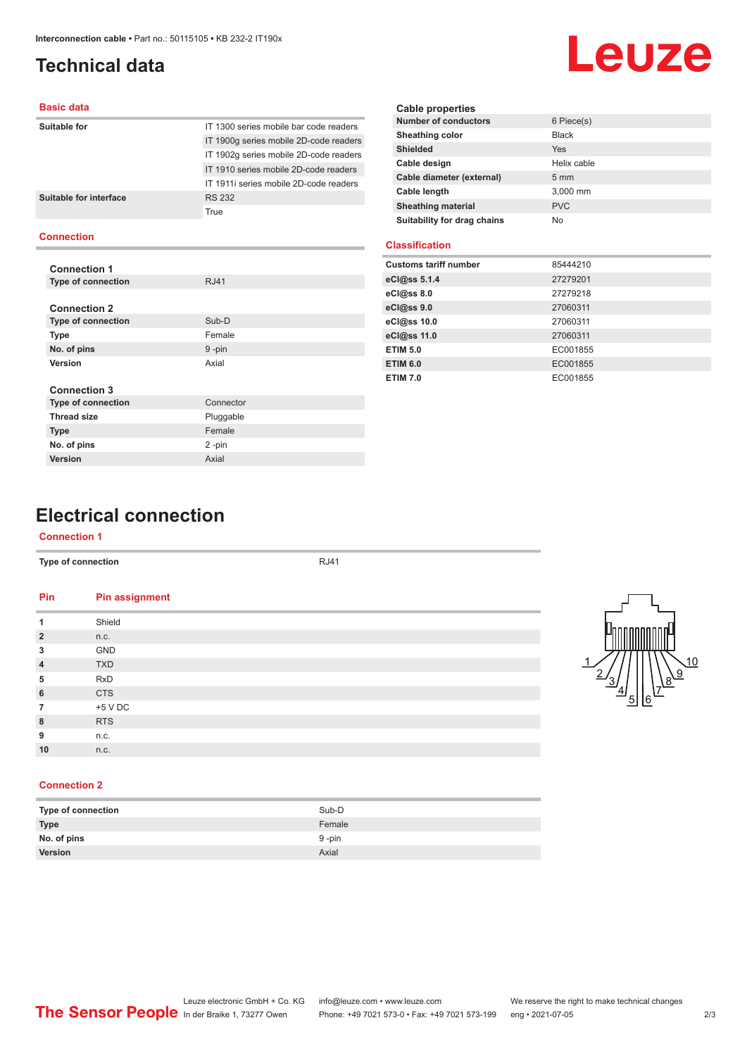# <span id="page-1-0"></span>**Technical data**

# Leuze

#### **Basic data**

| IT 1300 series mobile bar code readers |
|----------------------------------------|
| IT 1900g series mobile 2D-code readers |
| IT 1902q series mobile 2D-code readers |
| IT 1910 series mobile 2D-code readers  |
| IT 1911 series mobile 2D-code readers  |
| <b>RS 232</b>                          |
| True                                   |
|                                        |
|                                        |

#### **Connection**

| <b>Connection 1</b>       |             |
|---------------------------|-------------|
| <b>Type of connection</b> | <b>RJ41</b> |
|                           |             |
| <b>Connection 2</b>       |             |
| <b>Type of connection</b> | Sub-D       |
| <b>Type</b>               | Female      |
| No. of pins               | 9-pin       |
| Version                   | Axial       |
|                           |             |
| <b>Connection 3</b>       |             |
| <b>Type of connection</b> | Connector   |
| <b>Thread size</b>        | Pluggable   |
| <b>Type</b>               | Female      |
| No. of pins               | $2 - pin$   |
| Version                   | Axial       |

| <b>Cable properties</b>     |                |  |
|-----------------------------|----------------|--|
| <b>Number of conductors</b> | 6 Piece(s)     |  |
| Sheathing color             | <b>Black</b>   |  |
| <b>Shielded</b>             | Yes            |  |
| Cable design                | Helix cable    |  |
| Cable diameter (external)   | $5 \text{ mm}$ |  |
| Cable length                | 3,000 mm       |  |
| <b>Sheathing material</b>   | <b>PVC</b>     |  |
| Suitability for drag chains | No             |  |

### **Classification**

| <b>Customs tariff number</b> | 85444210 |
|------------------------------|----------|
| eCl@ss 5.1.4                 | 27279201 |
| eCl@ss 8.0                   | 27279218 |
| eCl@ss 9.0                   | 27060311 |
| eCl@ss 10.0                  | 27060311 |
| eCl@ss 11.0                  | 27060311 |
| <b>ETIM 5.0</b>              | EC001855 |
| <b>ETIM 6.0</b>              | EC001855 |
| <b>ETIM 7.0</b>              | EC001855 |

# **Electrical connection**

#### **Connection 1**

| Type of connection |                | <b>RJ41</b> |
|--------------------|----------------|-------------|
| Pin                | Pin assignment |             |
| 1                  | Shield         |             |
| $\overline{2}$     | n.c.           |             |
| 3                  | GND            |             |
| 4                  | <b>TXD</b>     |             |
| 5                  | <b>RxD</b>     |             |
| 6                  | <b>CTS</b>     |             |
| $\overline{7}$     | +5 V DC        |             |
| 8                  | <b>RTS</b>     |             |
| 9                  | n.c.           |             |
| 10                 | n.c.           |             |
|                    |                |             |



#### **Connection 2**

| Type of connection | Sub-D  |
|--------------------|--------|
| <b>Type</b>        | Female |
| No. of pins        | 9 -pin |
| Version            | Axial  |